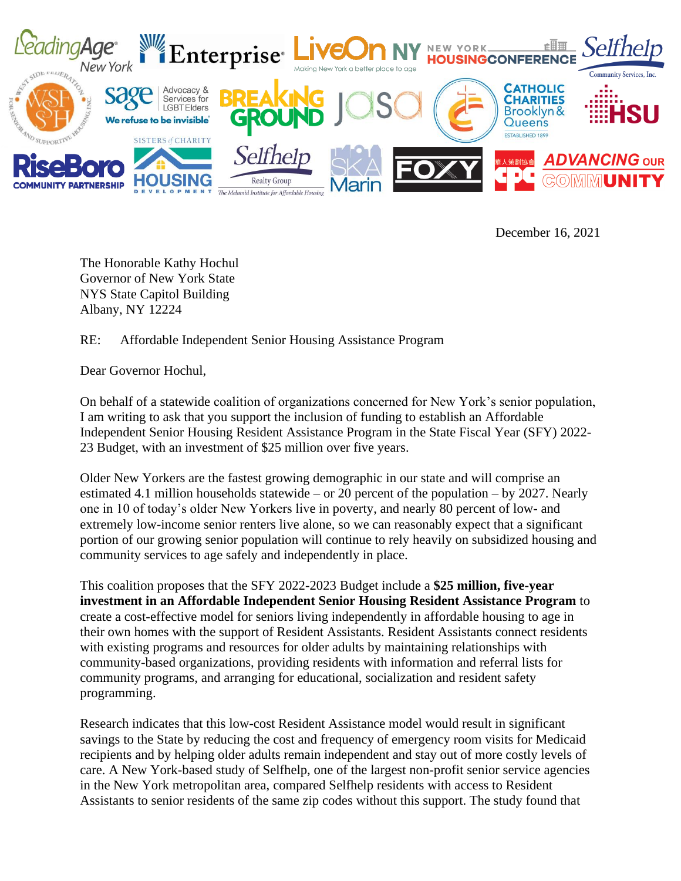

December 16, 2021

The Honorable Kathy Hochul Governor of New York State NYS State Capitol Building Albany, NY 12224

RE: Affordable Independent Senior Housing Assistance Program

Dear Governor Hochul,

On behalf of a statewide coalition of organizations concerned for New York's senior population, I am writing to ask that you support the inclusion of funding to establish an Affordable Independent Senior Housing Resident Assistance Program in the State Fiscal Year (SFY) 2022- 23 Budget, with an investment of \$25 million over five years.

Older New Yorkers are the fastest growing demographic in our state and will comprise an estimated 4.1 million households statewide – or 20 percent of the population – by 2027. Nearly one in 10 of today's older New Yorkers live in poverty, and nearly 80 percent of low- and extremely low-income senior renters live alone, so we can reasonably expect that a significant portion of our growing senior population will continue to rely heavily on subsidized housing and community services to age safely and independently in place.

This coalition proposes that the SFY 2022-2023 Budget include a **\$25 million, five-year investment in an Affordable Independent Senior Housing Resident Assistance Program** to create a cost-effective model for seniors living independently in affordable housing to age in their own homes with the support of Resident Assistants. Resident Assistants connect residents with existing programs and resources for older adults by maintaining relationships with community-based organizations, providing residents with information and referral lists for community programs, and arranging for educational, socialization and resident safety programming.

Research indicates that this low-cost Resident Assistance model would result in significant savings to the State by reducing the cost and frequency of emergency room visits for Medicaid recipients and by helping older adults remain independent and stay out of more costly levels of care. A New York-based study of Selfhelp, one of the largest non-profit senior service agencies in the New York metropolitan area, compared Selfhelp residents with access to Resident Assistants to senior residents of the same zip codes without this support. The study found that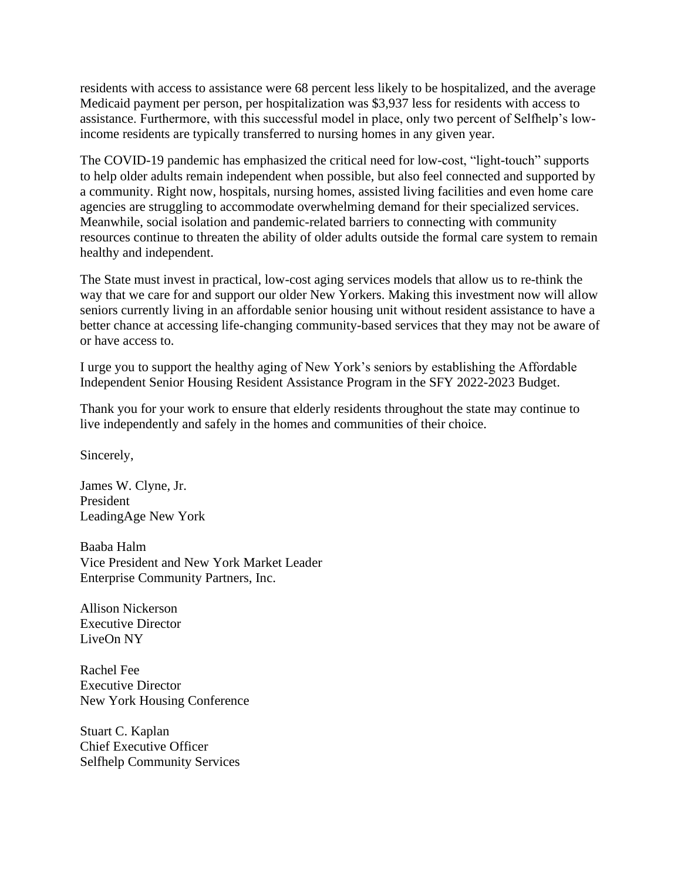residents with access to assistance were 68 percent less likely to be hospitalized, and the average Medicaid payment per person, per hospitalization was \$3,937 less for residents with access to assistance. Furthermore, with this successful model in place, only two percent of Selfhelp's lowincome residents are typically transferred to nursing homes in any given year.

The COVID-19 pandemic has emphasized the critical need for low-cost, "light-touch" supports to help older adults remain independent when possible, but also feel connected and supported by a community. Right now, hospitals, nursing homes, assisted living facilities and even home care agencies are struggling to accommodate overwhelming demand for their specialized services. Meanwhile, social isolation and pandemic-related barriers to connecting with community resources continue to threaten the ability of older adults outside the formal care system to remain healthy and independent.

The State must invest in practical, low-cost aging services models that allow us to re-think the way that we care for and support our older New Yorkers. Making this investment now will allow seniors currently living in an affordable senior housing unit without resident assistance to have a better chance at accessing life-changing community-based services that they may not be aware of or have access to.

I urge you to support the healthy aging of New York's seniors by establishing the Affordable Independent Senior Housing Resident Assistance Program in the SFY 2022-2023 Budget.

Thank you for your work to ensure that elderly residents throughout the state may continue to live independently and safely in the homes and communities of their choice.

Sincerely,

James W. Clyne, Jr. President LeadingAge New York

Baaba Halm Vice President and New York Market Leader Enterprise Community Partners, Inc.

Allison Nickerson Executive Director LiveOn NY

Rachel Fee Executive Director New York Housing Conference

Stuart C. Kaplan Chief Executive Officer Selfhelp Community Services